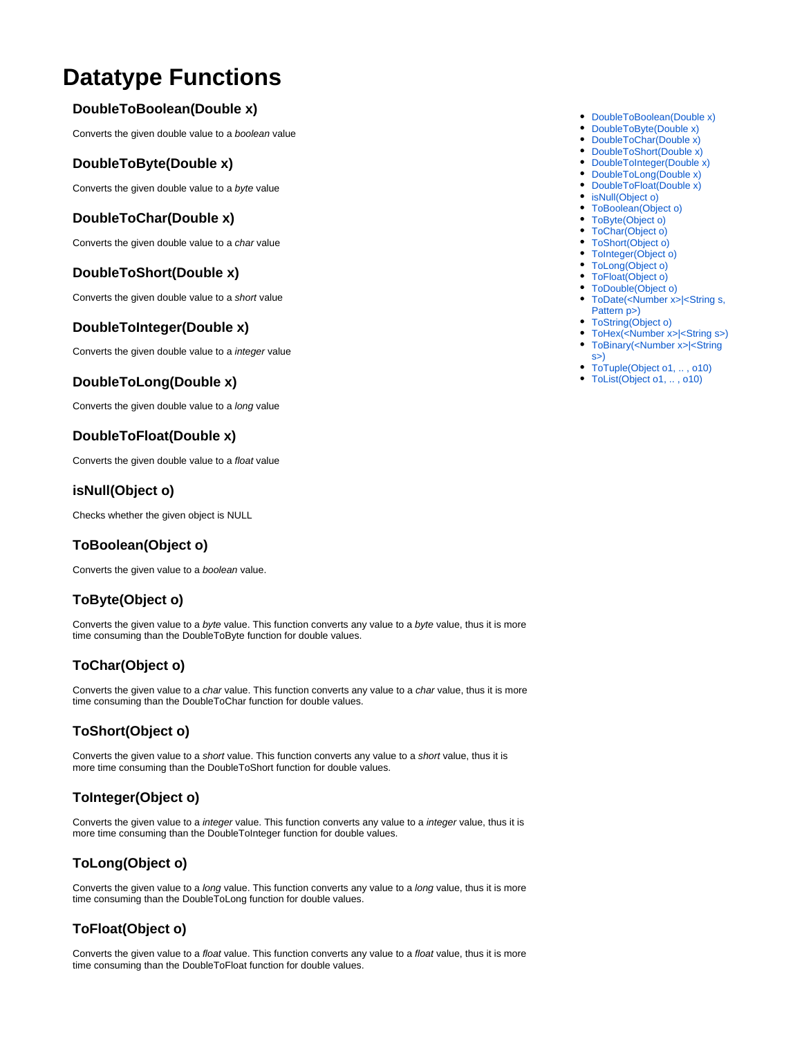# **Datatype Functions**

#### <span id="page-0-0"></span>**DoubleToBoolean(Double x)**

Converts the given double value to a boolean value

#### <span id="page-0-1"></span>**DoubleToByte(Double x)**

Converts the given double value to a byte value

#### <span id="page-0-2"></span>**DoubleToChar(Double x)**

Converts the given double value to a char value

#### <span id="page-0-3"></span>**DoubleToShort(Double x)**

Converts the given double value to a short value

#### <span id="page-0-4"></span>**DoubleToInteger(Double x)**

Converts the given double value to a integer value

#### <span id="page-0-5"></span>**DoubleToLong(Double x)**

Converts the given double value to a long value

## <span id="page-0-6"></span>**DoubleToFloat(Double x)**

Converts the given double value to a float value

#### <span id="page-0-7"></span>**isNull(Object o)**

Checks whether the given object is NULL

## <span id="page-0-8"></span>**ToBoolean(Object o)**

Converts the given value to a boolean value.

#### <span id="page-0-9"></span>**ToByte(Object o)**

Converts the given value to a byte value. This function converts any value to a byte value, thus it is more time consuming than the DoubleToByte function for double values.

## <span id="page-0-10"></span>**ToChar(Object o)**

Converts the given value to a char value. This function converts any value to a char value, thus it is more time consuming than the DoubleToChar function for double values.

## <span id="page-0-11"></span>**ToShort(Object o)**

Converts the given value to a short value. This function converts any value to a short value, thus it is more time consuming than the DoubleToShort function for double values.

## <span id="page-0-12"></span>**ToInteger(Object o)**

Converts the given value to a integer value. This function converts any value to a integer value, thus it is more time consuming than the DoubleToInteger function for double values.

## <span id="page-0-13"></span>**ToLong(Object o)**

Converts the given value to a long value. This function converts any value to a long value, thus it is more time consuming than the DoubleToLong function for double values.

## <span id="page-0-14"></span>**ToFloat(Object o)**

<span id="page-0-15"></span>Converts the given value to a float value. This function converts any value to a float value, thus it is more time consuming than the DoubleToFloat function for double values.

- [DoubleToBoolean\(Double x\)](#page-0-0)
- [DoubleToByte\(Double x\)](#page-0-1)
- [DoubleToChar\(Double x\)](#page-0-2)
- [DoubleToShort\(Double x\)](#page-0-3)
- [DoubleToInteger\(Double x\)](#page-0-4) • [DoubleToLong\(Double x\)](#page-0-5)
- [DoubleToFloat\(Double x\)](#page-0-6)
- [isNull\(Object o\)](#page-0-7)
- [ToBoolean\(Object o\)](#page-0-8)
- [ToByte\(Object o\)](#page-0-9)
- [ToChar\(Object o\)](#page-0-10)
- [ToShort\(Object o\)](#page-0-11)
- [ToInteger\(Object o\)](#page-0-12)
- [ToLong\(Object o\)](#page-0-13)
- [ToFloat\(Object o\)](#page-0-14)
- [ToDouble\(Object o\)](#page-0-15) • ToDate(<Number x>|<String s,
- [Pattern p>\)](#page-1-0) • [ToString\(Object o\)](#page-1-1)
- [ToHex\(<Number x>|<String s>\)](#page-1-2)
- [ToBinary\(<Number x>|<String](#page-1-3)  [s>\)](#page-1-3)
- [ToTuple\(Object o1, .. , o10\)](#page-1-4)
- [ToList\(Object o1, .. , o10\)](#page-1-5)